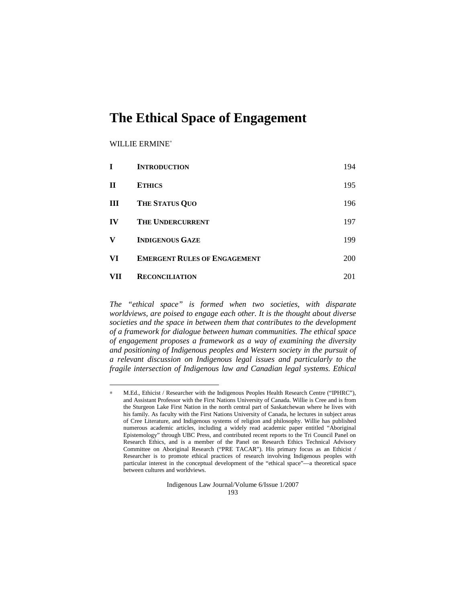# WILLIE ERMINE<sup>∗</sup>

 $\overline{a}$ 

| T           | <b>INTRODUCTION</b>                 | 194        |
|-------------|-------------------------------------|------------|
| $\mathbf H$ | <b>ETHICS</b>                       | 195        |
| Ш           | <b>THE STATUS QUO</b>               | 196        |
| IV          | <b>THE UNDERCURRENT</b>             | 197        |
| V           | <b>INDIGENOUS GAZE</b>              | 199        |
| VI          | <b>EMERGENT RULES OF ENGAGEMENT</b> | <b>200</b> |
| VH          | <b>RECONCILIATION</b>               | 201        |

*The "ethical space" is formed when two societies, with disparate worldviews, are poised to engage each other. It is the thought about diverse societies and the space in between them that contributes to the development of a framework for dialogue between human communities. The ethical space of engagement proposes a framework as a way of examining the diversity and positioning of Indigenous peoples and Western society in the pursuit of a relevant discussion on Indigenous legal issues and particularly to the fragile intersection of Indigenous law and Canadian legal systems. Ethical* 

Indigenous Law Journal/Volume 6/Issue 1/2007 193

<sup>∗</sup> M.Ed., Ethicist / Researcher with the Indigenous Peoples Health Research Centre ("IPHRC"), and Assistant Professor with the First Nations University of Canada. Willie is Cree and is from the Sturgeon Lake First Nation in the north central part of Saskatchewan where he lives with his family. As faculty with the First Nations University of Canada, he lectures in subject areas of Cree Literature, and Indigenous systems of religion and philosophy. Willie has published numerous academic articles, including a widely read academic paper entitled "Aboriginal Epistemology" through UBC Press, and contributed recent reports to the Tri Council Panel on Research Ethics, and is a member of the Panel on Research Ethics Technical Advisory Committee on Aboriginal Research ("PRE TACAR"). His primary focus as an Ethicist / Researcher is to promote ethical practices of research involving Indigenous peoples with particular interest in the conceptual development of the "ethical space"—a theoretical space between cultures and worldviews.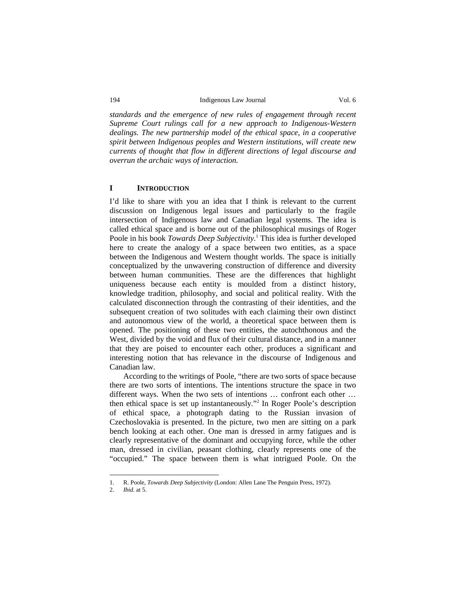*standards and the emergence of new rules of engagement through recent Supreme Court rulings call for a new approach to Indigenous-Western dealings. The new partnership model of the ethical space, in a cooperative spirit between Indigenous peoples and Western institutions, will create new currents of thought that flow in different directions of legal discourse and overrun the archaic ways of interaction.* 

# **I INTRODUCTION**

I'd like to share with you an idea that I think is relevant to the current discussion on Indigenous legal issues and particularly to the fragile intersection of Indigenous law and Canadian legal systems. The idea is called ethical space and is borne out of the philosophical musings of Roger Poole in his book *Towards Deep Subjectivity*.<sup>1</sup> This idea is further developed here to create the analogy of a space between two entities, as a space between the Indigenous and Western thought worlds. The space is initially conceptualized by the unwavering construction of difference and diversity between human communities. These are the differences that highlight uniqueness because each entity is moulded from a distinct history, knowledge tradition, philosophy, and social and political reality. With the calculated disconnection through the contrasting of their identities, and the subsequent creation of two solitudes with each claiming their own distinct and autonomous view of the world, a theoretical space between them is opened. The positioning of these two entities, the autochthonous and the West, divided by the void and flux of their cultural distance, and in a manner that they are poised to encounter each other, produces a significant and interesting notion that has relevance in the discourse of Indigenous and Canadian law.

According to the writings of Poole, "there are two sorts of space because there are two sorts of intentions. The intentions structure the space in two different ways. When the two sets of intentions … confront each other … then ethical space is set up instantaneously."2 In Roger Poole's description of ethical space, a photograph dating to the Russian invasion of Czechoslovakia is presented. In the picture, two men are sitting on a park bench looking at each other. One man is dressed in army fatigues and is clearly representative of the dominant and occupying force, while the other man, dressed in civilian, peasant clothing, clearly represents one of the "occupied." The space between them is what intrigued Poole. On the

<sup>1.</sup> R. Poole, *Towards Deep Subjectivity* (London: Allen Lane The Penguin Press, 1972).

<sup>2.</sup> *Ibid.* at 5.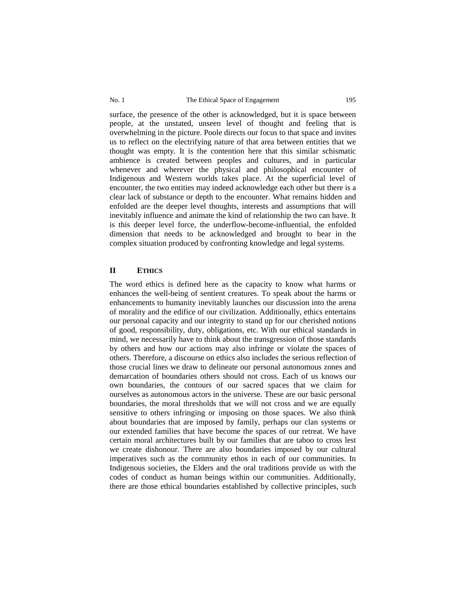surface, the presence of the other is acknowledged, but it is space between people, at the unstated, unseen level of thought and feeling that is overwhelming in the picture. Poole directs our focus to that space and invites us to reflect on the electrifying nature of that area between entities that we thought was empty. It is the contention here that this similar schismatic ambience is created between peoples and cultures, and in particular whenever and wherever the physical and philosophical encounter of Indigenous and Western worlds takes place. At the superficial level of encounter, the two entities may indeed acknowledge each other but there is a clear lack of substance or depth to the encounter. What remains hidden and enfolded are the deeper level thoughts, interests and assumptions that will inevitably influence and animate the kind of relationship the two can have. It is this deeper level force, the underflow-become-influential, the enfolded dimension that needs to be acknowledged and brought to bear in the complex situation produced by confronting knowledge and legal systems.

## **II ETHICS**

The word ethics is defined here as the capacity to know what harms or enhances the well-being of sentient creatures. To speak about the harms or enhancements to humanity inevitably launches our discussion into the arena of morality and the edifice of our civilization. Additionally, ethics entertains our personal capacity and our integrity to stand up for our cherished notions of good, responsibility, duty, obligations, etc. With our ethical standards in mind, we necessarily have to think about the transgression of those standards by others and how our actions may also infringe or violate the spaces of others. Therefore, a discourse on ethics also includes the serious reflection of those crucial lines we draw to delineate our personal autonomous zones and demarcation of boundaries others should not cross. Each of us knows our own boundaries, the contours of our sacred spaces that we claim for ourselves as autonomous actors in the universe. These are our basic personal boundaries, the moral thresholds that we will not cross and we are equally sensitive to others infringing or imposing on those spaces. We also think about boundaries that are imposed by family, perhaps our clan systems or our extended families that have become the spaces of our retreat. We have certain moral architectures built by our families that are taboo to cross lest we create dishonour. There are also boundaries imposed by our cultural imperatives such as the community ethos in each of our communities. In Indigenous societies, the Elders and the oral traditions provide us with the codes of conduct as human beings within our communities. Additionally, there are those ethical boundaries established by collective principles, such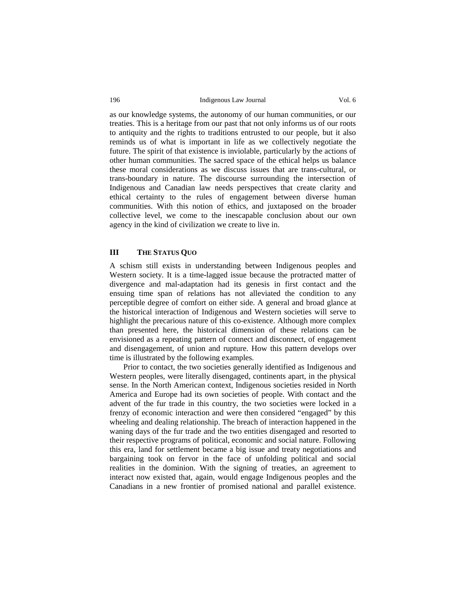as our knowledge systems, the autonomy of our human communities, or our treaties. This is a heritage from our past that not only informs us of our roots to antiquity and the rights to traditions entrusted to our people, but it also reminds us of what is important in life as we collectively negotiate the future. The spirit of that existence is inviolable, particularly by the actions of other human communities. The sacred space of the ethical helps us balance these moral considerations as we discuss issues that are trans-cultural, or trans-boundary in nature. The discourse surrounding the intersection of Indigenous and Canadian law needs perspectives that create clarity and ethical certainty to the rules of engagement between diverse human communities. With this notion of ethics, and juxtaposed on the broader collective level, we come to the inescapable conclusion about our own agency in the kind of civilization we create to live in.

# **III THE STATUS QUO**

A schism still exists in understanding between Indigenous peoples and Western society. It is a time-lagged issue because the protracted matter of divergence and mal-adaptation had its genesis in first contact and the ensuing time span of relations has not alleviated the condition to any perceptible degree of comfort on either side. A general and broad glance at the historical interaction of Indigenous and Western societies will serve to highlight the precarious nature of this co-existence. Although more complex than presented here, the historical dimension of these relations can be envisioned as a repeating pattern of connect and disconnect, of engagement and disengagement, of union and rupture. How this pattern develops over time is illustrated by the following examples.

Prior to contact, the two societies generally identified as Indigenous and Western peoples, were literally disengaged, continents apart, in the physical sense. In the North American context, Indigenous societies resided in North America and Europe had its own societies of people. With contact and the advent of the fur trade in this country, the two societies were locked in a frenzy of economic interaction and were then considered "engaged" by this wheeling and dealing relationship. The breach of interaction happened in the waning days of the fur trade and the two entities disengaged and resorted to their respective programs of political, economic and social nature. Following this era, land for settlement became a big issue and treaty negotiations and bargaining took on fervor in the face of unfolding political and social realities in the dominion. With the signing of treaties, an agreement to interact now existed that, again, would engage Indigenous peoples and the Canadians in a new frontier of promised national and parallel existence.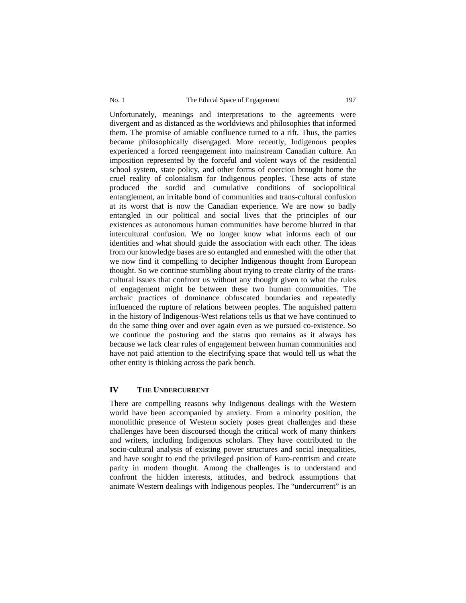Unfortunately, meanings and interpretations to the agreements were divergent and as distanced as the worldviews and philosophies that informed them. The promise of amiable confluence turned to a rift. Thus, the parties became philosophically disengaged. More recently, Indigenous peoples experienced a forced reengagement into mainstream Canadian culture. An imposition represented by the forceful and violent ways of the residential school system, state policy, and other forms of coercion brought home the cruel reality of colonialism for Indigenous peoples. These acts of state produced the sordid and cumulative conditions of sociopolitical entanglement, an irritable bond of communities and trans-cultural confusion at its worst that is now the Canadian experience. We are now so badly entangled in our political and social lives that the principles of our existences as autonomous human communities have become blurred in that intercultural confusion. We no longer know what informs each of our identities and what should guide the association with each other. The ideas from our knowledge bases are so entangled and enmeshed with the other that we now find it compelling to decipher Indigenous thought from European thought. So we continue stumbling about trying to create clarity of the transcultural issues that confront us without any thought given to what the rules of engagement might be between these two human communities. The archaic practices of dominance obfuscated boundaries and repeatedly influenced the rupture of relations between peoples. The anguished pattern in the history of Indigenous-West relations tells us that we have continued to do the same thing over and over again even as we pursued co-existence. So we continue the posturing and the status quo remains as it always has because we lack clear rules of engagement between human communities and have not paid attention to the electrifying space that would tell us what the other entity is thinking across the park bench.

# **IV THE UNDERCURRENT**

There are compelling reasons why Indigenous dealings with the Western world have been accompanied by anxiety. From a minority position, the monolithic presence of Western society poses great challenges and these challenges have been discoursed though the critical work of many thinkers and writers, including Indigenous scholars. They have contributed to the socio-cultural analysis of existing power structures and social inequalities, and have sought to end the privileged position of Euro-centrism and create parity in modern thought. Among the challenges is to understand and confront the hidden interests, attitudes, and bedrock assumptions that animate Western dealings with Indigenous peoples. The "undercurrent" is an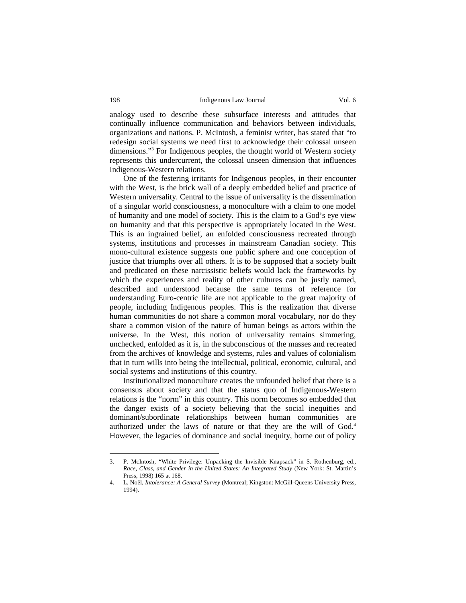analogy used to describe these subsurface interests and attitudes that continually influence communication and behaviors between individuals, organizations and nations. P. McIntosh, a feminist writer, has stated that "to redesign social systems we need first to acknowledge their colossal unseen dimensions."3 For Indigenous peoples, the thought world of Western society represents this undercurrent, the colossal unseen dimension that influences Indigenous-Western relations.

One of the festering irritants for Indigenous peoples, in their encounter with the West, is the brick wall of a deeply embedded belief and practice of Western universality. Central to the issue of universality is the dissemination of a singular world consciousness, a monoculture with a claim to one model of humanity and one model of society. This is the claim to a God's eye view on humanity and that this perspective is appropriately located in the West. This is an ingrained belief, an enfolded consciousness recreated through systems, institutions and processes in mainstream Canadian society. This mono-cultural existence suggests one public sphere and one conception of justice that triumphs over all others. It is to be supposed that a society built and predicated on these narcissistic beliefs would lack the frameworks by which the experiences and reality of other cultures can be justly named, described and understood because the same terms of reference for understanding Euro-centric life are not applicable to the great majority of people, including Indigenous peoples. This is the realization that diverse human communities do not share a common moral vocabulary, nor do they share a common vision of the nature of human beings as actors within the universe. In the West, this notion of universality remains simmering, unchecked, enfolded as it is, in the subconscious of the masses and recreated from the archives of knowledge and systems, rules and values of colonialism that in turn wills into being the intellectual, political, economic, cultural, and social systems and institutions of this country.

Institutionalized monoculture creates the unfounded belief that there is a consensus about society and that the status quo of Indigenous-Western relations is the "norm" in this country. This norm becomes so embedded that the danger exists of a society believing that the social inequities and dominant/subordinate relationships between human communities are authorized under the laws of nature or that they are the will of God.<sup>4</sup> However, the legacies of dominance and social inequity, borne out of policy

<sup>3.</sup> P. McIntosh, "White Privilege: Unpacking the Invisible Knapsack" in S. Rothenburg, ed., *Race, Class, and Gender in the United States: An Integrated Study* (New York: St. Martin's Press, 1998) 165 at 168.

<sup>4.</sup> L. Noël, *Intolerance: A General Survey* (Montreal; Kingston: McGill-Queens University Press, 1994).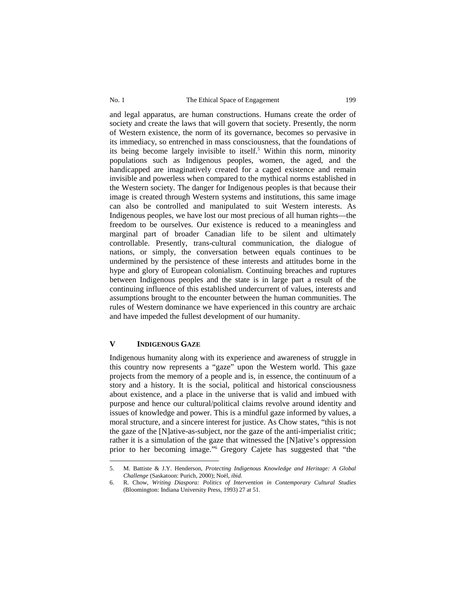and legal apparatus, are human constructions. Humans create the order of society and create the laws that will govern that society. Presently, the norm of Western existence, the norm of its governance, becomes so pervasive in its immediacy, so entrenched in mass consciousness, that the foundations of its being become largely invisible to itself.<sup>5</sup> Within this norm, minority populations such as Indigenous peoples, women, the aged, and the handicapped are imaginatively created for a caged existence and remain invisible and powerless when compared to the mythical norms established in the Western society. The danger for Indigenous peoples is that because their image is created through Western systems and institutions, this same image can also be controlled and manipulated to suit Western interests. As Indigenous peoples, we have lost our most precious of all human rights—the freedom to be ourselves. Our existence is reduced to a meaningless and marginal part of broader Canadian life to be silent and ultimately controllable. Presently, trans-cultural communication, the dialogue of nations, or simply, the conversation between equals continues to be undermined by the persistence of these interests and attitudes borne in the hype and glory of European colonialism. Continuing breaches and ruptures between Indigenous peoples and the state is in large part a result of the continuing influence of this established undercurrent of values, interests and assumptions brought to the encounter between the human communities. The rules of Western dominance we have experienced in this country are archaic and have impeded the fullest development of our humanity.

# **V INDIGENOUS GAZE**

 $\overline{a}$ 

Indigenous humanity along with its experience and awareness of struggle in this country now represents a "gaze" upon the Western world. This gaze projects from the memory of a people and is, in essence, the continuum of a story and a history. It is the social, political and historical consciousness about existence, and a place in the universe that is valid and imbued with purpose and hence our cultural/political claims revolve around identity and issues of knowledge and power. This is a mindful gaze informed by values, a moral structure, and a sincere interest for justice. As Chow states, "this is not the gaze of the [N]ative-as-subject, nor the gaze of the anti-imperialist critic; rather it is a simulation of the gaze that witnessed the [N]ative's oppression prior to her becoming image."6 Gregory Cajete has suggested that "the

<sup>5.</sup> M. Battiste & J.Y. Henderson, *Protecting Indigenous Knowledge and Heritage: A Global Challenge* (Saskatoon: Purich, 2000); Noël, *ibid*.

<sup>6.</sup> R. Chow, *Writing Diaspora: Politics of Intervention in Contemporary Cultural Studies* (Bloomington: Indiana University Press, 1993) 27 at 51.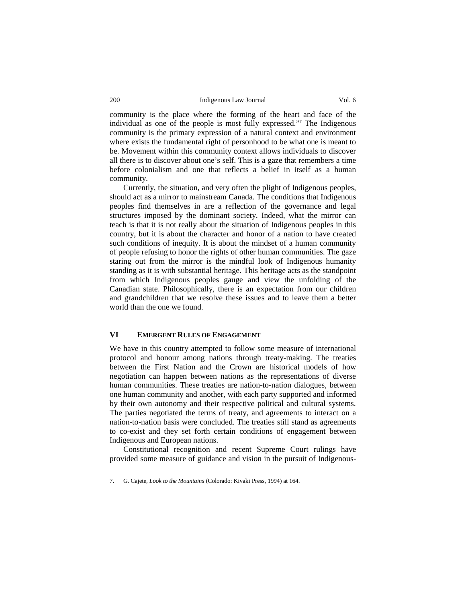community is the place where the forming of the heart and face of the individual as one of the people is most fully expressed."7 The Indigenous community is the primary expression of a natural context and environment where exists the fundamental right of personhood to be what one is meant to be. Movement within this community context allows individuals to discover all there is to discover about one's self. This is a gaze that remembers a time before colonialism and one that reflects a belief in itself as a human community.

Currently, the situation, and very often the plight of Indigenous peoples, should act as a mirror to mainstream Canada. The conditions that Indigenous peoples find themselves in are a reflection of the governance and legal structures imposed by the dominant society. Indeed, what the mirror can teach is that it is not really about the situation of Indigenous peoples in this country, but it is about the character and honor of a nation to have created such conditions of inequity. It is about the mindset of a human community of people refusing to honor the rights of other human communities. The gaze staring out from the mirror is the mindful look of Indigenous humanity standing as it is with substantial heritage. This heritage acts as the standpoint from which Indigenous peoples gauge and view the unfolding of the Canadian state. Philosophically, there is an expectation from our children and grandchildren that we resolve these issues and to leave them a better world than the one we found.

# **VI EMERGENT RULES OF ENGAGEMENT**

We have in this country attempted to follow some measure of international protocol and honour among nations through treaty-making. The treaties between the First Nation and the Crown are historical models of how negotiation can happen between nations as the representations of diverse human communities. These treaties are nation-to-nation dialogues, between one human community and another, with each party supported and informed by their own autonomy and their respective political and cultural systems. The parties negotiated the terms of treaty, and agreements to interact on a nation-to-nation basis were concluded. The treaties still stand as agreements to co-exist and they set forth certain conditions of engagement between Indigenous and European nations.

Constitutional recognition and recent Supreme Court rulings have provided some measure of guidance and vision in the pursuit of Indigenous-

<sup>7.</sup> G. Cajete, *Look to the Mountains* (Colorado: Kivaki Press, 1994) at 164.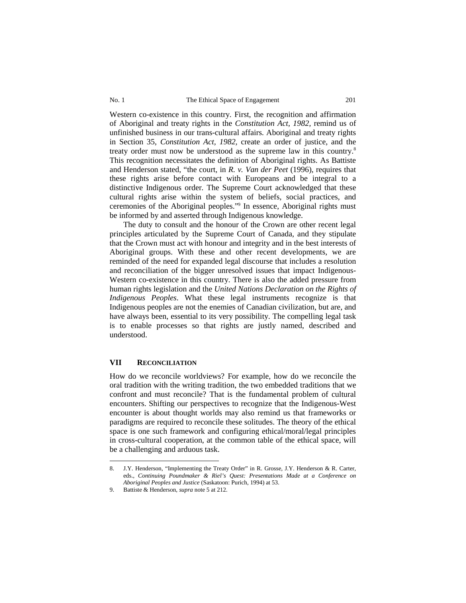Western co-existence in this country. First, the recognition and affirmation of Aboriginal and treaty rights in the *Constitution Act, 1982,* remind us of unfinished business in our trans-cultural affairs. Aboriginal and treaty rights in Section 35, *Constitution Act, 1982,* create an order of justice, and the treaty order must now be understood as the supreme law in this country.8 This recognition necessitates the definition of Aboriginal rights. As Battiste and Henderson stated, "the court, in *R. v. Van der Peet* (1996), requires that these rights arise before contact with Europeans and be integral to a distinctive Indigenous order. The Supreme Court acknowledged that these cultural rights arise within the system of beliefs, social practices, and ceremonies of the Aboriginal peoples."9 In essence, Aboriginal rights must be informed by and asserted through Indigenous knowledge.

The duty to consult and the honour of the Crown are other recent legal principles articulated by the Supreme Court of Canada, and they stipulate that the Crown must act with honour and integrity and in the best interests of Aboriginal groups. With these and other recent developments, we are reminded of the need for expanded legal discourse that includes a resolution and reconciliation of the bigger unresolved issues that impact Indigenous-Western co-existence in this country. There is also the added pressure from human rights legislation and the *United Nations Declaration on the Rights of Indigenous Peoples*. What these legal instruments recognize is that Indigenous peoples are not the enemies of Canadian civilization, but are, and have always been, essential to its very possibility. The compelling legal task is to enable processes so that rights are justly named, described and understood.

## **VII RECONCILIATION**

 $\overline{a}$ 

How do we reconcile worldviews? For example, how do we reconcile the oral tradition with the writing tradition, the two embedded traditions that we confront and must reconcile? That is the fundamental problem of cultural encounters. Shifting our perspectives to recognize that the Indigenous-West encounter is about thought worlds may also remind us that frameworks or paradigms are required to reconcile these solitudes. The theory of the ethical space is one such framework and configuring ethical/moral/legal principles in cross-cultural cooperation, at the common table of the ethical space, will be a challenging and arduous task.

<sup>8.</sup> J.Y. Henderson, "Implementing the Treaty Order" in R. Grosse, J.Y. Henderson & R. Carter, eds., *Continuing Poundmaker & Riel's Quest: Presentations Made at a Conference on Aboriginal Peoples and Justice* (Saskatoon: Purich, 1994) at 53.

<sup>9.</sup> Battiste & Henderson, *supra* note 5 at 212.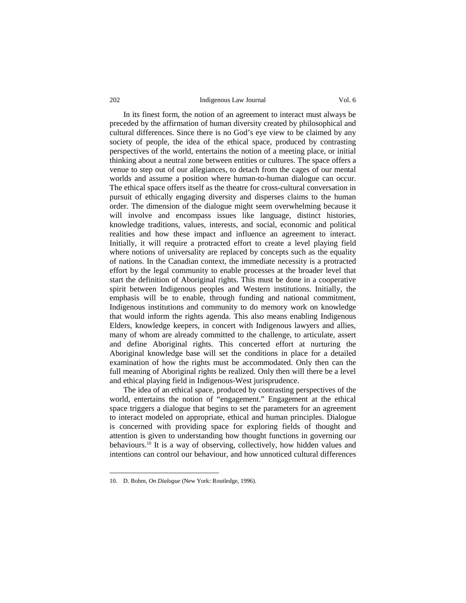In its finest form, the notion of an agreement to interact must always be preceded by the affirmation of human diversity created by philosophical and cultural differences. Since there is no God's eye view to be claimed by any society of people, the idea of the ethical space, produced by contrasting perspectives of the world, entertains the notion of a meeting place, or initial thinking about a neutral zone between entities or cultures. The space offers a venue to step out of our allegiances, to detach from the cages of our mental worlds and assume a position where human-to-human dialogue can occur. The ethical space offers itself as the theatre for cross-cultural conversation in pursuit of ethically engaging diversity and disperses claims to the human order. The dimension of the dialogue might seem overwhelming because it will involve and encompass issues like language, distinct histories, knowledge traditions, values, interests, and social, economic and political realities and how these impact and influence an agreement to interact. Initially, it will require a protracted effort to create a level playing field where notions of universality are replaced by concepts such as the equality of nations. In the Canadian context, the immediate necessity is a protracted effort by the legal community to enable processes at the broader level that start the definition of Aboriginal rights. This must be done in a cooperative spirit between Indigenous peoples and Western institutions. Initially, the emphasis will be to enable, through funding and national commitment, Indigenous institutions and community to do memory work on knowledge that would inform the rights agenda. This also means enabling Indigenous Elders, knowledge keepers, in concert with Indigenous lawyers and allies, many of whom are already committed to the challenge, to articulate, assert and define Aboriginal rights. This concerted effort at nurturing the Aboriginal knowledge base will set the conditions in place for a detailed examination of how the rights must be accommodated. Only then can the full meaning of Aboriginal rights be realized. Only then will there be a level and ethical playing field in Indigenous-West jurisprudence.

The idea of an ethical space, produced by contrasting perspectives of the world, entertains the notion of "engagement." Engagement at the ethical space triggers a dialogue that begins to set the parameters for an agreement to interact modeled on appropriate, ethical and human principles. Dialogue is concerned with providing space for exploring fields of thought and attention is given to understanding how thought functions in governing our behaviours.10 It is a way of observing, collectively, how hidden values and intentions can control our behaviour, and how unnoticed cultural differences

<sup>10.</sup> D. Bohm, *On Dialogue* (New York: Routledge, 1996).